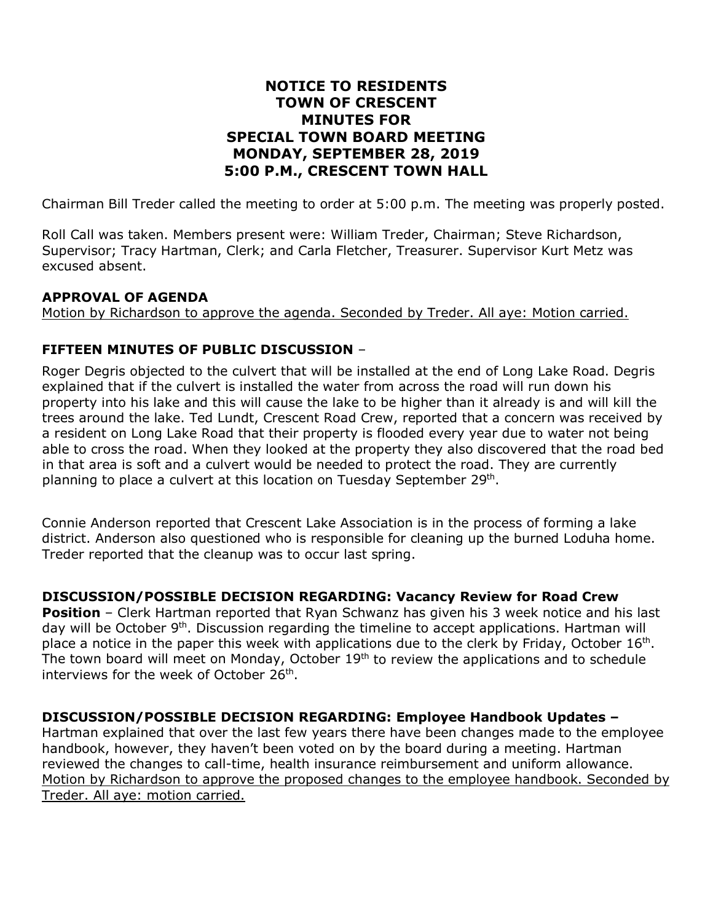# **NOTICE TO RESIDENTS TOWN OF CRESCENT MINUTES FOR SPECIAL TOWN BOARD MEETING MONDAY, SEPTEMBER 28, 2019 5:00 P.M., CRESCENT TOWN HALL**

Chairman Bill Treder called the meeting to order at 5:00 p.m. The meeting was properly posted.

Roll Call was taken. Members present were: William Treder, Chairman; Steve Richardson, Supervisor; Tracy Hartman, Clerk; and Carla Fletcher, Treasurer. Supervisor Kurt Metz was excused absent.

## **APPROVAL OF AGENDA**

Motion by Richardson to approve the agenda. Seconded by Treder. All aye: Motion carried.

## **FIFTEEN MINUTES OF PUBLIC DISCUSSION** –

Roger Degris objected to the culvert that will be installed at the end of Long Lake Road. Degris explained that if the culvert is installed the water from across the road will run down his property into his lake and this will cause the lake to be higher than it already is and will kill the trees around the lake. Ted Lundt, Crescent Road Crew, reported that a concern was received by a resident on Long Lake Road that their property is flooded every year due to water not being able to cross the road. When they looked at the property they also discovered that the road bed in that area is soft and a culvert would be needed to protect the road. They are currently planning to place a culvert at this location on Tuesday September 29<sup>th</sup>.

Connie Anderson reported that Crescent Lake Association is in the process of forming a lake district. Anderson also questioned who is responsible for cleaning up the burned Loduha home. Treder reported that the cleanup was to occur last spring.

## **DISCUSSION/POSSIBLE DECISION REGARDING: Vacancy Review for Road Crew**

**Position** – Clerk Hartman reported that Ryan Schwanz has given his 3 week notice and his last day will be October 9<sup>th</sup>. Discussion regarding the timeline to accept applications. Hartman will place a notice in the paper this week with applications due to the clerk by Friday, October  $16<sup>th</sup>$ . The town board will meet on Monday, October  $19<sup>th</sup>$  to review the applications and to schedule interviews for the week of October 26<sup>th</sup>.

## **DISCUSSION/POSSIBLE DECISION REGARDING: Employee Handbook Updates –**

Hartman explained that over the last few years there have been changes made to the employee handbook, however, they haven't been voted on by the board during a meeting. Hartman reviewed the changes to call-time, health insurance reimbursement and uniform allowance. Motion by Richardson to approve the proposed changes to the employee handbook. Seconded by Treder. All aye: motion carried.